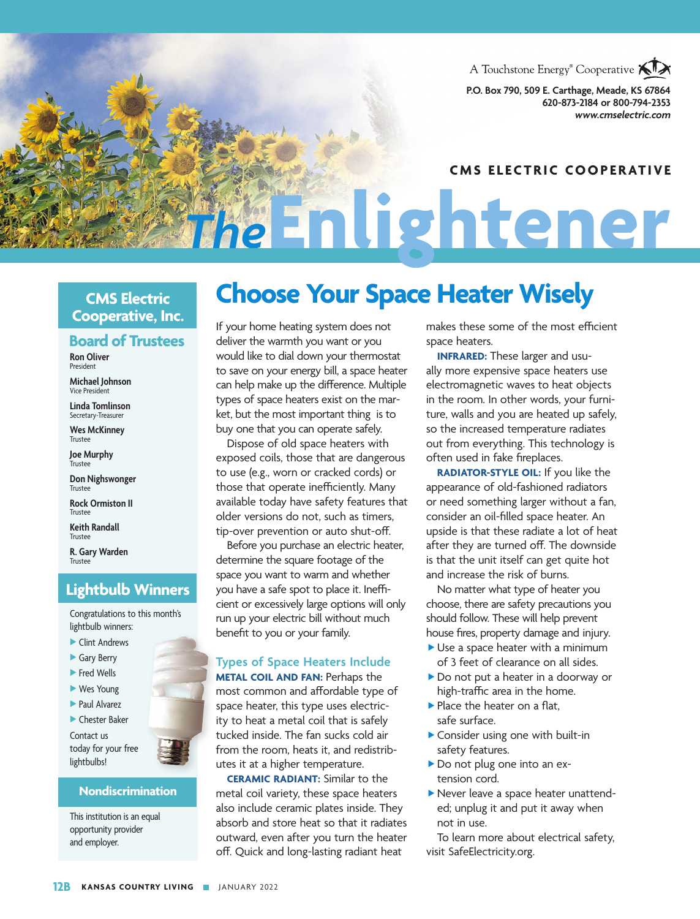

**P.O. Box 790, 509 E. Carthage, Meade, KS 67864 620-873-2184 or 800-794-2353** *www.cmselectric.com*

#### **CMS ELECTRIC COOPERATIVE**

**CMS Electric Cooperative, Inc.**

#### **Board of Trustees**

**Ron Oliver** President

**Michael Johnson** Vice President

**Linda Tomlinson** Secretary-Treasurer

**Wes McKinney** Trustee

**Joe Murphy Trustee** 

**Don Nighswonger** Trustee

**Rock Ormiston II Trustee** 

**Keith Randall** Trustee

**R. Gary Warden** Trustee

### **Lightbulb Winners**

Congratulations to this month's lightbulb winners:

- $\blacktriangleright$  Clint Andrews
- Gary Berry
- $\blacktriangleright$  Fred Wells
- $\blacktriangleright$  Wes Young
- Paul Alvarez
- $\blacktriangleright$  Chester Baker

Contact us today for your free lightbulbs!

#### **Nondiscrimination**

This institution is an equal opportunity provider and employer.

## **Choose Your Space Heater Wisely**

*The***Enlightener**

If your home heating system does not deliver the warmth you want or you would like to dial down your thermostat to save on your energy bill, a space heater can help make up the difference. Multiple types of space heaters exist on the market, but the most important thing is to buy one that you can operate safely.

Dispose of old space heaters with exposed coils, those that are dangerous to use (e.g., worn or cracked cords) or those that operate inefficiently. Many available today have safety features that older versions do not, such as timers, tip-over prevention or auto shut-off.

Before you purchase an electric heater, determine the square footage of the space you want to warm and whether you have a safe spot to place it. Inefficient or excessively large options will only run up your electric bill without much benefit to you or your family.

#### **Types of Space Heaters Include**

**METAL COIL AND FAN:** Perhaps the most common and affordable type of space heater, this type uses electricity to heat a metal coil that is safely tucked inside. The fan sucks cold air from the room, heats it, and redistributes it at a higher temperature.

**CERAMIC RADIANT:** Similar to the metal coil variety, these space heaters also include ceramic plates inside. They absorb and store heat so that it radiates outward, even after you turn the heater off. Quick and long-lasting radiant heat

makes these some of the most efficient space heaters.

**INFRARED:** These larger and usually more expensive space heaters use electromagnetic waves to heat objects in the room. In other words, your furniture, walls and you are heated up safely, so the increased temperature radiates out from everything. This technology is often used in fake fireplaces.

**RADIATOR-STYLE OIL:** If you like the appearance of old-fashioned radiators or need something larger without a fan, consider an oil-filled space heater. An upside is that these radiate a lot of heat after they are turned off. The downside is that the unit itself can get quite hot and increase the risk of burns.

No matter what type of heater you choose, there are safety precautions you should follow. These will help prevent house fires, property damage and injury.

- $\blacktriangleright$  Use a space heater with a minimum of 3 feet of clearance on all sides.
- ▶ Do not put a heater in a doorway or high-traffic area in the home.
- $\blacktriangleright$  Place the heater on a flat, safe surface.
- **Consider using one with built-in** safety features.
- Do not plug one into an extension cord.
- **Never leave a space heater unattend**ed; unplug it and put it away when not in use.

To learn more about electrical safety, visit SafeElectricity.org.